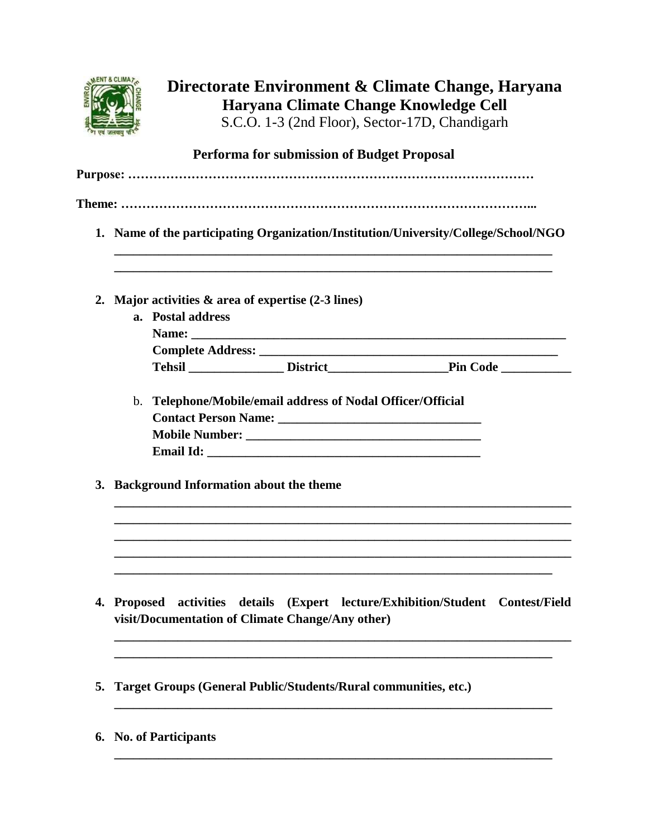

# **Directorate Environment & Climate Change, Haryana Haryana Climate Change Knowledge Cell**

S.C.O. 1-3 (2nd Floor), Sector-17D, Chandigarh

## **Performa for submission of Budget Proposal**

|    | 1. Name of the participating Organization/Institution/University/College/School/NGO |                                                                                                                                  |  |  |  |  |  |
|----|-------------------------------------------------------------------------------------|----------------------------------------------------------------------------------------------------------------------------------|--|--|--|--|--|
| 2. |                                                                                     | Major activities $\&$ area of expertise (2-3 lines)                                                                              |  |  |  |  |  |
|    |                                                                                     | a. Postal address                                                                                                                |  |  |  |  |  |
|    |                                                                                     |                                                                                                                                  |  |  |  |  |  |
|    |                                                                                     |                                                                                                                                  |  |  |  |  |  |
|    |                                                                                     |                                                                                                                                  |  |  |  |  |  |
|    |                                                                                     | b. Telephone/Mobile/email address of Nodal Officer/Official                                                                      |  |  |  |  |  |
|    |                                                                                     |                                                                                                                                  |  |  |  |  |  |
|    |                                                                                     |                                                                                                                                  |  |  |  |  |  |
| 3. | <b>Background Information about the theme</b>                                       |                                                                                                                                  |  |  |  |  |  |
| 4. |                                                                                     | Proposed activities details (Expert lecture/Exhibition/Student Contest/Field<br>visit/Documentation of Climate Change/Any other) |  |  |  |  |  |
| 5. |                                                                                     | Target Groups (General Public/Students/Rural communities, etc.)                                                                  |  |  |  |  |  |

**\_\_\_\_\_\_\_\_\_\_\_\_\_\_\_\_\_\_\_\_\_\_\_\_\_\_\_\_\_\_\_\_\_\_\_\_\_\_\_\_\_\_\_\_\_\_\_\_\_\_\_\_\_\_\_\_\_\_\_\_\_\_\_\_\_\_\_\_\_**

**6. No. of Participants**